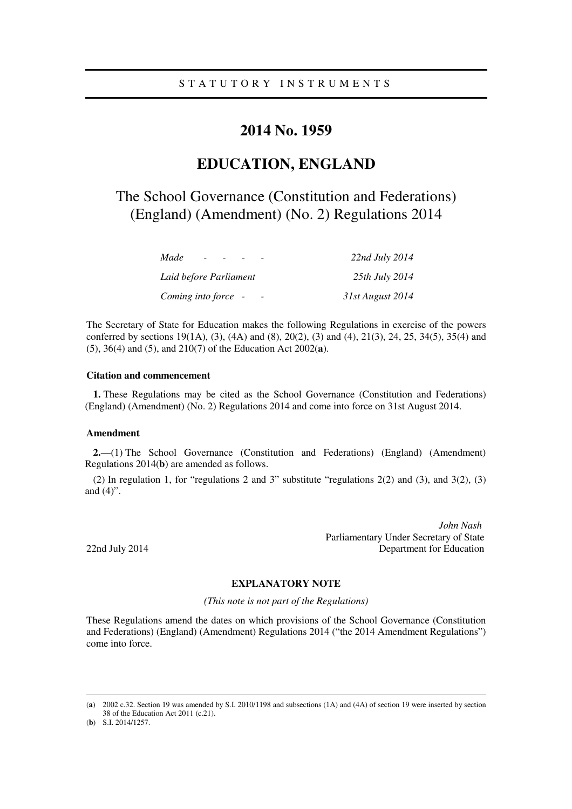## **2014 No. 1959**

# **EDUCATION, ENGLAND**

# The School Governance (Constitution and Federations) (England) (Amendment) (No. 2) Regulations 2014

| Made                   | 22nd July 2014   |
|------------------------|------------------|
| Laid before Parliament | 25th July 2014   |
| Coming into force -    | 31st August 2014 |

The Secretary of State for Education makes the following Regulations in exercise of the powers conferred by sections 19(1A), (3), (4A) and (8), 20(2), (3) and (4), 21(3), 24, 25, 34(5), 35(4) and (5), 36(4) and (5), and 210(7) of the Education Act 2002(**a**).

### **Citation and commencement**

**1.** These Regulations may be cited as the School Governance (Constitution and Federations) (England) (Amendment) (No. 2) Regulations 2014 and come into force on 31st August 2014.

#### **Amendment**

**2.**—(1) The School Governance (Constitution and Federations) (England) (Amendment) Regulations 2014(**b**) are amended as follows.

(2) In regulation 1, for "regulations 2 and 3" substitute "regulations 2(2) and (3), and 3(2), (3) and (4)".

*John Nash*  Parliamentary Under Secretary of State 22nd July 2014 Department for Education

### **EXPLANATORY NOTE**

*(This note is not part of the Regulations)* 

These Regulations amend the dates on which provisions of the School Governance (Constitution and Federations) (England) (Amendment) Regulations 2014 ("the 2014 Amendment Regulations") come into force.

<u>.</u>

<sup>(</sup>**a**) 2002 c.32. Section 19 was amended by S.I. 2010/1198 and subsections (1A) and (4A) of section 19 were inserted by section 38 of the Education Act 2011 (c.21).

<sup>(</sup>**b**) S.I. 2014/1257.